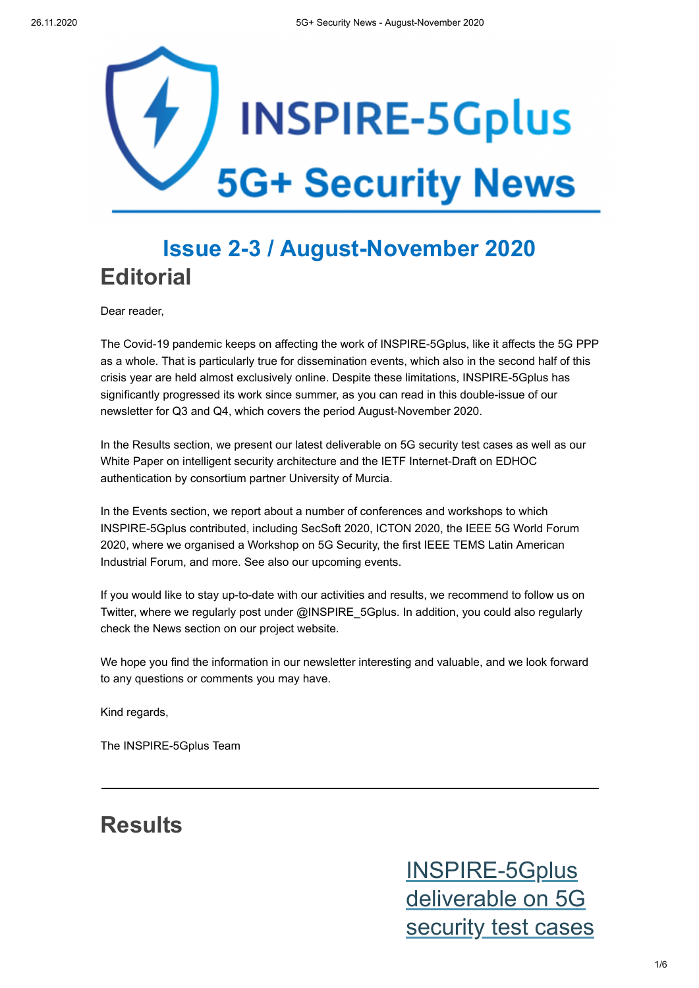

## **Issue 2-3 / August-November 2020 Editorial**

Dear reader,

The Covid-19 pandemic keeps on affecting the work of INSPIRE-5Gplus, like it affects the 5G PPP as a whole. That is particularly true for dissemination events, which also in the second half of this crisis year are held almost exclusively online. Despite these limitations, INSPIRE-5Gplus has significantly progressed its work since summer, as you can read in this double-issue of our newsletter for Q3 and Q4, which covers the period August-November 2020.

In the Results section, we present our latest deliverable on 5G security test cases as well as our White Paper on intelligent security architecture and the IETF Internet-Draft on EDHOC authentication by consortium partner University of Murcia.

In the Events section, we report about a number of conferences and workshops to which INSPIRE-5Gplus contributed, including SecSoft 2020, ICTON 2020, the IEEE 5G World Forum 2020, where we organised a Workshop on 5G Security, the first IEEE TEMS Latin American Industrial Forum, and more. See also our upcoming events.

If you would like to stay up-to-date with our activities and results, we recommend to follow us on Twitter, where we regularly post under @INSPIRE\_5Gplus. In addition, you could also regularly check the News section on our project website.

We hope you find the information in our newsletter interesting and valuable, and we look forward to any questions or comments you may have.

Kind regards,

The INSPIRE-5Gplus Team

#### **Results**

INSPIRE-5Gplus deliverable on 5G [security test cases](https://www.inspire-5gplus.eu/inspire-5gplus-deliverable-on-5g-security-test-cases/)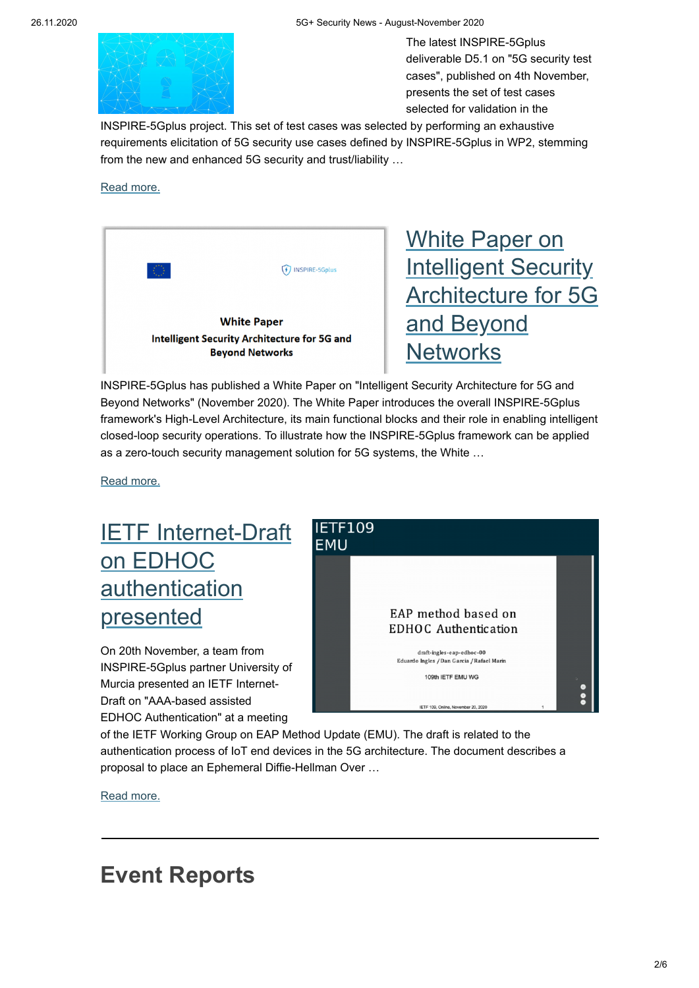#### 26.11.2020 5G+ Security News - August-November 2020



The latest INSPIRE-5Gplus deliverable D5.1 on "5G security test cases", published on 4th November, presents the set of test cases selected for validation in the

[INSPIRE-5Gplus project. This set of test cases was selec](https://www.inspire-5gplus.eu/inspire-5gplus-deliverable-on-5g-security-test-cases/)ted by performing an exhaustive requirements elicitation of 5G security use cases defined by INSPIRE-5Gplus in WP2, stemming from the new and enhanced 5G security and trust/liability …

#### [Read more.](https://www.inspire-5gplus.eu/inspire-5gplus-deliverable-on-5g-security-test-cases/)

|                                                                                                     | <b>INSPIRE-5Gplus</b> |
|-----------------------------------------------------------------------------------------------------|-----------------------|
| <b>White Paper</b><br><b>Intelligent Security Architecture for 5G and</b><br><b>Beyond Networks</b> |                       |

White Paper on **Intelligent Security** [Architecture for 5G](https://www.inspire-5gplus.eu/white-paper-on-intelligent-security-architecture-for-5g-and-beyond-networks/) and Beyond **Networks** 

INSPIRE-5Gplus has published a White Paper on "Intelligent Security Architecture for 5G and Beyond Networks" (November 2020). The White Paper introduces the overall INSPIRE-5Gplus framework's High-Level Architecture, its main functional blocks and their role in enabling intelligent closed-loop security operations. To illustrate how the INSPIRE-5Gplus framework can be applied as a zero-touch security management solution for 5G systems, the White …

[Read more.](https://www.inspire-5gplus.eu/white-paper-on-intelligent-security-architecture-for-5g-and-beyond-networks/)

## [IETF Internet-Draft](https://www.inspire-5gplus.eu/ietf-internet-draft-on-edhoc-authentication-presented/) on EDHOC authentication presented

On 20th November, a team from INSPIRE-5Gplus partner University of Murcia presented an IETF Internet-Draft on "AAA-based assisted EDHOC Authentication" at a meeting



of the IETF Working Group on EAP Method Update (EMU). The draft is related to the authentication process of IoT end devices in the 5G architecture. The document describes a proposal to place an Ephemeral Diffie-Hellman Over …

[Read more.](https://www.inspire-5gplus.eu/ietf-internet-draft-on-edhoc-authentication-presented/)

#### **Event Reports**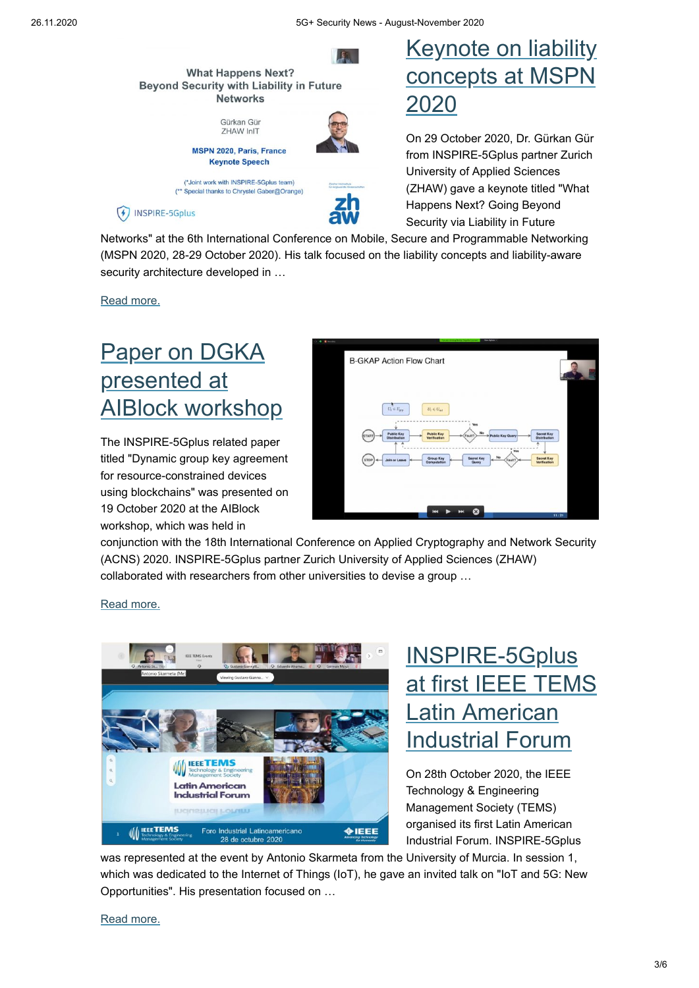



On 29 October 2020, Dr. Gürkan Gür from INSPIRE-5Gplus partner Zurich University of Applied Sciences (ZHAW) gave a keynote titled "What Happens Next? Going Beyond Security via Liability in Future

[Networks" at the 6th International Conference on Mobile,](https://www.inspire-5gplus.eu/keynote-on-liability-concepts-at-mspn-2020/) Secure and Programmable Networking (MSPN 2020, 28-29 October 2020). His talk focused on the liability concepts and liability-aware security architecture developed in …

[Read more.](https://www.inspire-5gplus.eu/keynote-on-liability-concepts-at-mspn-2020/)

 $(4)$  INSPIRE-5Gplus

## Paper on DGKA presented at [AIBlock workshop](https://www.inspire-5gplus.eu/paper-on-dgka-presented-at-aiblock-workshop/)

(\*\* Special thanks to Chrystel Gaber@Orange)

The INSPIRE-5Gplus related paper titled "Dynamic group key agreement for resource-constrained devices using blockchains" was presented on 19 October 2020 at the AIBlock workshop, which was held in



conjunction with the 18th International Conference on Applied Cryptography and Network Security (ACNS) 2020. INSPIRE-5Gplus partner Zurich University of Applied Sciences (ZHAW) collaborated with researchers from other universities to devise a group …

#### [Read more.](https://www.inspire-5gplus.eu/paper-on-dgka-presented-at-aiblock-workshop/)



### INSPIRE-5Gplus [at first IEEE TEMS](https://www.inspire-5gplus.eu/inspire-5gplus-at-first-ieee-tems-latin-american-industrial-forum/) Latin American Industrial Forum

On 28th October 2020, the IEEE Technology & Engineering Management Society (TEMS) organised its first Latin American Industrial Forum. INSPIRE-5Gplus

was represented at the event by Antonio Skarmeta from the University of Murcia. In session 1, which was dedicated to the Internet of Things (IoT), he gave an invited talk on "IoT and 5G: New Opportunities". His presentation focused on …

#### [Read more.](https://www.inspire-5gplus.eu/inspire-5gplus-at-first-ieee-tems-latin-american-industrial-forum/)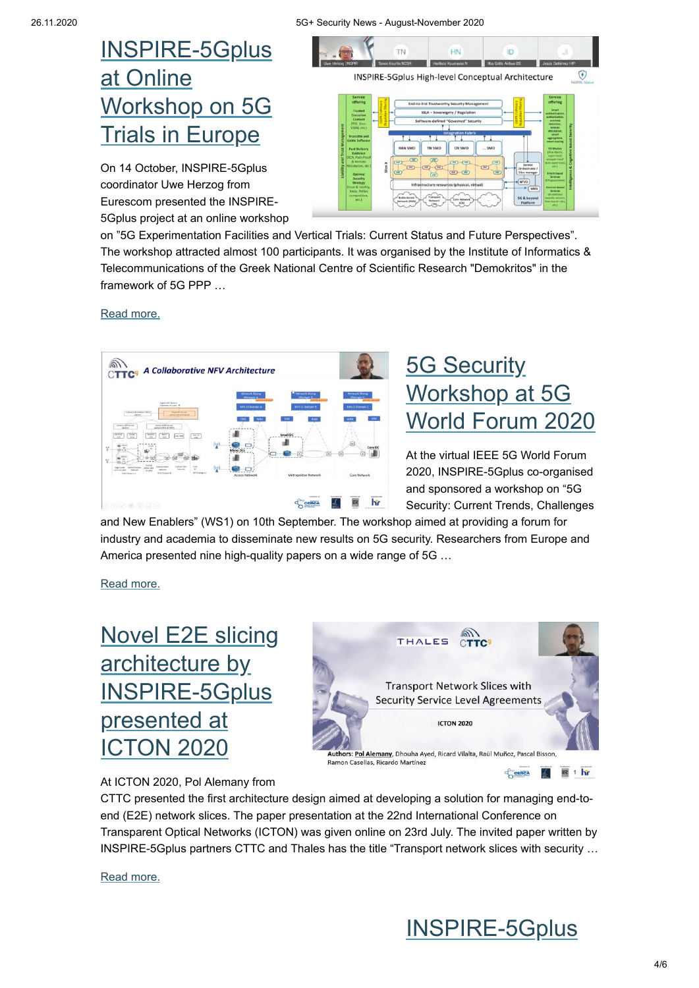## [INSPIRE-5Gplus](https://www.inspire-5gplus.eu/inspire-5gplus-at-online-workshop-on-5g-trials-in-europe/) at Online Workshop on 5G **Trials in Europe**

On 14 October, INSPIRE-5Gplus coordinator Uwe Herzog from Eurescom presented the INSPIRE-5Gplus project at an online workshop



on "5G Experimentation Facilities and Vertical Trials: Current Status and Future Perspectives". The workshop attracted almost 100 participants. It was organised by the Institute of Informatics & Telecommunications of the Greek National Centre of Scientific Research "Demokritos" in the framework of 5G PPP …

[Read more.](https://www.inspire-5gplus.eu/inspire-5gplus-at-online-workshop-on-5g-trials-in-europe/)



# **5G Security** Workshop at 5G [World Forum 2020](https://www.inspire-5gplus.eu/5g-security-workshop-at-5g-world-forum-2020/)

At the virtual IEEE 5G World Forum 2020, INSPIRE-5Gplus co-organised and sponsored a workshop on "5G Security: Current Trends, Challenges

and New Enablers" (WS1) on 10th September. The workshop aimed at providing a forum for industry and academia to disseminate new results on 5G security. Researchers from Europe and America presented nine high-quality papers on a wide range of 5G …

[Read more.](https://www.inspire-5gplus.eu/5g-security-workshop-at-5g-world-forum-2020/)

# [Novel E2E slicing](https://www.inspire-5gplus.eu/novel-e2e-slicing-architecture-by-inspire-5gplus-presented-at-icton-2020/) architecture by INSPIRE-5Gplus presented at ICTON 2020



At ICTON 2020, Pol Alemany from

CTTC presented the first architecture design aimed at developing a solution for managing end-toend (E2E) network slices. The paper presentation at the 22nd International Conference on Transparent Optical Networks (ICTON) was given online on 23rd July. The invited paper written by INSPIRE-5Gplus partners CTTC and Thales has the title "Transport network slices with security …

[Read more.](https://www.inspire-5gplus.eu/novel-e2e-slicing-architecture-by-inspire-5gplus-presented-at-icton-2020/)

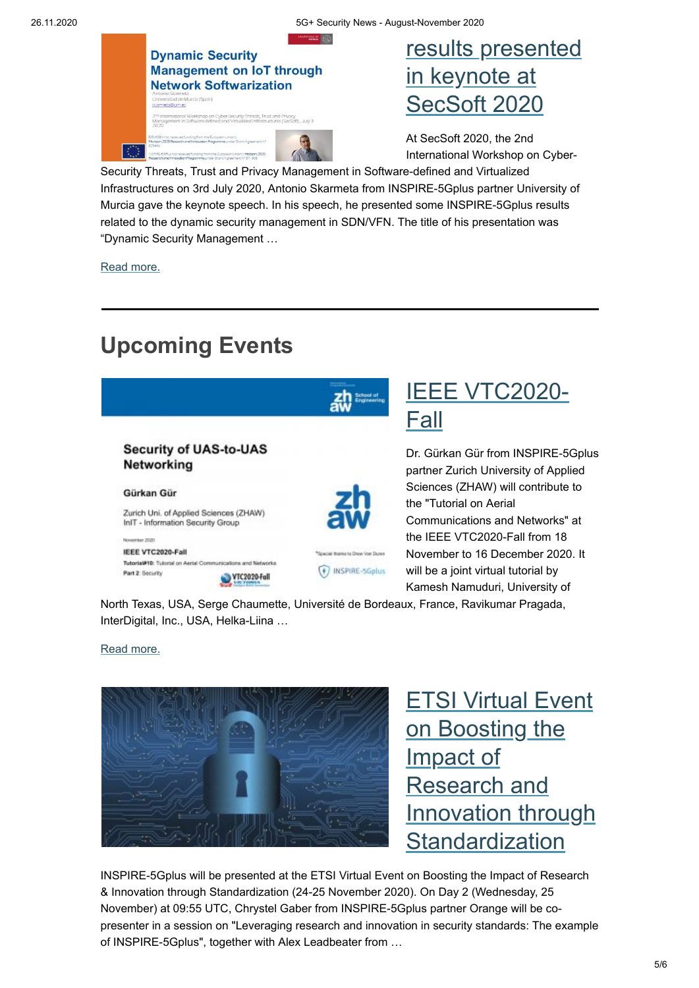

### [results presented](https://www.inspire-5gplus.eu/inspire-5gplus-results-presented-in-keynote-at-secsoft-2020/) in keynote at SecSoft 2020

At SecSoft 2020, the 2nd International Workshop on Cyber-

[Security Threats, Trust and Privacy Management in Softw](https://www.inspire-5gplus.eu/inspire-5gplus-results-presented-in-keynote-at-secsoft-2020/)are-defined and Virtualized Infrastructures on 3rd July 2020, Antonio Skarmeta from INSPIRE-5Gplus partner University of Murcia gave the keynote speech. In his speech, he presented some INSPIRE-5Gplus results related to the dynamic security management in SDN/VFN. The title of his presentation was "Dynamic Security Management …

[Read more.](https://www.inspire-5gplus.eu/inspire-5gplus-results-presented-in-keynote-at-secsoft-2020/)

# **Upcoming Events**



North Texas, USA, Serge Chaumette, Université de Bordeaux, France, Ravikumar Pragada, InterDigital, Inc., USA, Helka-Liina …

[Read more.](https://www.inspire-5gplus.eu/event/ieee-vtc2020-fall/)



**ETSI Virtual Event** on Boosting the Impact of Research and [Innovation through](https://www.inspire-5gplus.eu/event/etsi-virtual-event-on-boosting-the-impact-of-research-and-innovation-through-standardization/) **Standardization** 

INSPIRE-5Gplus will be presented at the ETSI Virtual Event on Boosting the Impact of Research & Innovation through Standardization (24-25 November 2020). On Day 2 (Wednesday, 25 November) at 09:55 UTC, Chrystel Gaber from INSPIRE-5Gplus partner Orange will be copresenter in a session on "Leveraging research and innovation in security standards: The example of INSPIRE-5Gplus", together with Alex Leadbeater from …